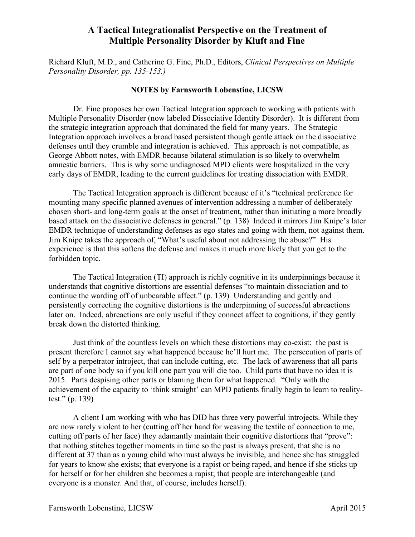Richard Kluft, M.D., and Catherine G. Fine, Ph.D., Editors, *Clinical Perspectives on Multiple Personality Disorder, pp. 135-153.)*

#### **NOTES by Farnsworth Lobenstine, LICSW**

Dr. Fine proposes her own Tactical Integration approach to working with patients with Multiple Personality Disorder (now labeled Dissociative Identity Disorder). It is different from the strategic integration approach that dominated the field for many years. The Strategic Integration approach involves a broad based persistent though gentle attack on the dissociative defenses until they crumble and integration is achieved. This approach is not compatible, as George Abbott notes, with EMDR because bilateral stimulation is so likely to overwhelm amnestic barriers. This is why some undiagnosed MPD clients were hospitalized in the very early days of EMDR, leading to the current guidelines for treating dissociation with EMDR.

The Tactical Integration approach is different because of it's "technical preference for mounting many specific planned avenues of intervention addressing a number of deliberately chosen short- and long-term goals at the onset of treatment, rather than initiating a more broadly based attack on the dissociative defenses in general." (p. 138) Indeed it mirrors Jim Knipe's later EMDR technique of understanding defenses as ego states and going with them, not against them. Jim Knipe takes the approach of, "What's useful about not addressing the abuse?" His experience is that this softens the defense and makes it much more likely that you get to the forbidden topic.

The Tactical Integration (TI) approach is richly cognitive in its underpinnings because it understands that cognitive distortions are essential defenses "to maintain dissociation and to continue the warding off of unbearable affect." (p. 139) Understanding and gently and persistently correcting the cognitive distortions is the underpinning of successful abreactions later on. Indeed, abreactions are only useful if they connect affect to cognitions, if they gently break down the distorted thinking.

Just think of the countless levels on which these distortions may co-exist: the past is present therefore I cannot say what happened because he'll hurt me. The persecution of parts of self by a perpetrator introject, that can include cutting, etc. The lack of awareness that all parts are part of one body so if you kill one part you will die too. Child parts that have no idea it is 2015. Parts despising other parts or blaming them for what happened. "Only with the achievement of the capacity to 'think straight' can MPD patients finally begin to learn to realitytest." (p. 139)

A client I am working with who has DID has three very powerful introjects. While they are now rarely violent to her (cutting off her hand for weaving the textile of connection to me, cutting off parts of her face) they adamantly maintain their cognitive distortions that "prove": that nothing stitches together moments in time so the past is always present, that she is no different at 37 than as a young child who must always be invisible, and hence she has struggled for years to know she exists; that everyone is a rapist or being raped, and hence if she sticks up for herself or for her children she becomes a rapist; that people are interchangeable (and everyone is a monster. And that, of course, includes herself).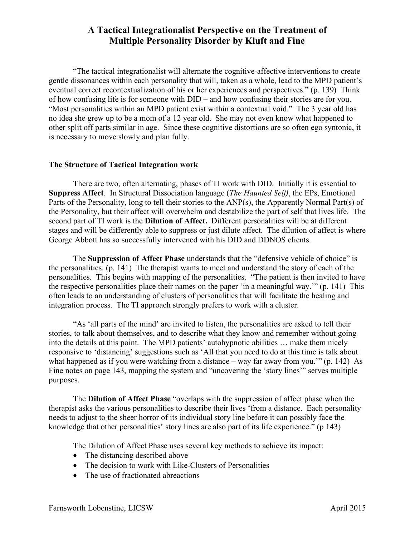"The tactical integrationalist will alternate the cognitive-affective interventions to create gentle dissonances within each personality that will, taken as a whole, lead to the MPD patient's eventual correct recontextualization of his or her experiences and perspectives." (p. 139) Think of how confusing life is for someone with DID – and how confusing their stories are for you. "Most personalities within an MPD patient exist within a contextual void." The 3 year old has no idea she grew up to be a mom of a 12 year old. She may not even know what happened to other split off parts similar in age. Since these cognitive distortions are so often ego syntonic, it is necessary to move slowly and plan fully.

#### **The Structure of Tactical Integration work**

There are two, often alternating, phases of TI work with DID. Initially it is essential to **Suppress Affect**. In Structural Dissociation language (*The Haunted Self)*, the EPs, Emotional Parts of the Personality, long to tell their stories to the ANP(s), the Apparently Normal Part(s) of the Personality, but their affect will overwhelm and destabilize the part of self that lives life. The second part of TI work is the **Dilution of Affect.** Different personalities will be at different stages and will be differently able to suppress or just dilute affect. The dilution of affect is where George Abbott has so successfully intervened with his DID and DDNOS clients.

The **Suppression of Affect Phase** understands that the "defensive vehicle of choice" is the personalities. (p. 141) The therapist wants to meet and understand the story of each of the personalities. This begins with mapping of the personalities. "The patient is then invited to have the respective personalities place their names on the paper 'in a meaningful way.'" (p. 141) This often leads to an understanding of clusters of personalities that will facilitate the healing and integration process. The TI approach strongly prefers to work with a cluster.

"As 'all parts of the mind' are invited to listen, the personalities are asked to tell their stories, to talk about themselves, and to describe what they know and remember without going into the details at this point. The MPD patients' autohypnotic abilities … make them nicely responsive to 'distancing' suggestions such as 'All that you need to do at this time is talk about what happened as if you were watching from a distance – way far away from you." (p. 142) As Fine notes on page 143, mapping the system and "uncovering the 'story lines'" serves multiple purposes.

The **Dilution of Affect Phase** "overlaps with the suppression of affect phase when the therapist asks the various personalities to describe their lives 'from a distance. Each personality needs to adjust to the sheer horror of its individual story line before it can possibly face the knowledge that other personalities' story lines are also part of its life experience." (p 143)

The Dilution of Affect Phase uses several key methods to achieve its impact:

- The distancing described above
- The decision to work with Like-Clusters of Personalities
- The use of fractionated abreactions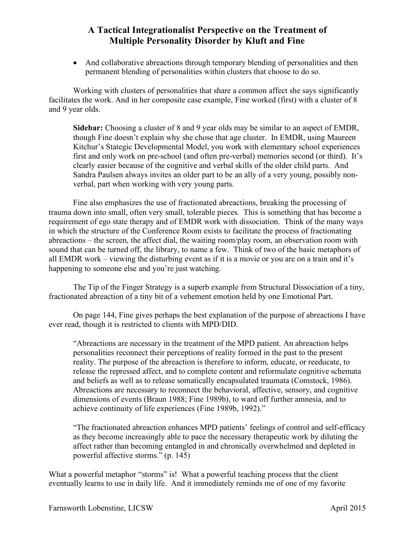• And collaborative abreactions through temporary blending of personalities and then permanent blending of personalities within clusters that choose to do so.

Working with clusters of personalities that share a common affect she says significantly facilitates the work. And in her composite case example, Fine worked (first) with a cluster of 8 and 9 year olds.

**Sidebar:** Choosing a cluster of 8 and 9 year olds may be similar to an aspect of EMDR, though Fine doesn't explain why she chose that age cluster. In EMDR, using Maureen Kitchur's Stategic Developmental Model, you work with elementary school experiences first and only work on pre-school (and often pre-verbal) memories second (or third). It's clearly easier because of the cognitive and verbal skills of the older child parts. And Sandra Paulsen always invites an older part to be an ally of a very young, possibly nonverbal, part when working with very young parts.

Fine also emphasizes the use of fractionated abreactions, breaking the processing of trauma down into small, often very small, tolerable pieces. This is something that has become a requirement of ego state therapy and of EMDR work with dissociation. Think of the many ways in which the structure of the Conference Room exists to facilitate the process of fractionating abreactions – the screen, the affect dial, the waiting room/play room, an observation room with sound that can be turned off, the library, to name a few. Think of two of the basic metaphors of all EMDR work – viewing the disturbing event as if it is a movie or you are on a train and it's happening to someone else and you're just watching.

The Tip of the Finger Strategy is a superb example from Structural Dissociation of a tiny, fractionated abreaction of a tiny bit of a vehement emotion held by one Emotional Part.

On page 144, Fine gives perhaps the best explanation of the purpose of abreactions I have ever read, though it is restricted to clients with MPD/DID.

"Abreactions are necessary in the treatment of the MPD patient. An abreaction helps personalities reconnect their perceptions of reality formed in the past to the present reality. The purpose of the abreaction is therefore to inform, educate, or reeducate, to release the repressed affect, and to complete content and reformulate cognitive schemata and beliefs as well as to release somatically encapsulated traumata (Comstock, 1986). Abreactions are necessary to reconnect the behavioral, affective, sensory, and cognitive dimensions of events (Braun 1988; Fine 1989b), to ward off further amnesia, and to achieve continuity of life experiences (Fine 1989b, 1992)."

"The fractionated abreaction enhances MPD patients' feelings of control and self-efficacy as they become increasingly able to pace the necessary therapeutic work by diluting the affect rather than becoming entangled in and chronically overwhelmed and depleted in powerful affective storms." (p. 145)

What a powerful metaphor "storms" is! What a powerful teaching process that the client eventually learns to use in daily life. And it immediately reminds me of one of my favorite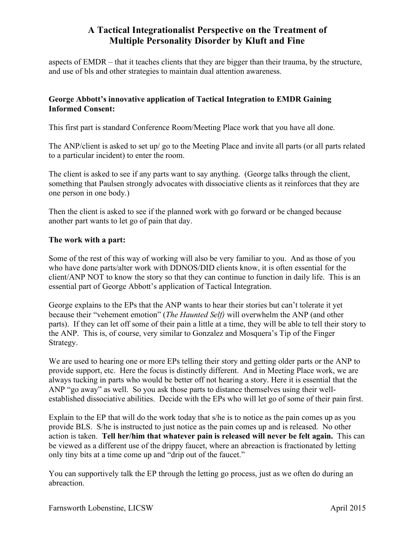aspects of EMDR – that it teaches clients that they are bigger than their trauma, by the structure, and use of bls and other strategies to maintain dual attention awareness.

### **George Abbott's innovative application of Tactical Integration to EMDR Gaining Informed Consent:**

This first part is standard Conference Room/Meeting Place work that you have all done.

The ANP/client is asked to set up/ go to the Meeting Place and invite all parts (or all parts related to a particular incident) to enter the room.

The client is asked to see if any parts want to say anything. (George talks through the client, something that Paulsen strongly advocates with dissociative clients as it reinforces that they are one person in one body.)

Then the client is asked to see if the planned work with go forward or be changed because another part wants to let go of pain that day.

#### **The work with a part:**

Some of the rest of this way of working will also be very familiar to you. And as those of you who have done parts/alter work with DDNOS/DID clients know, it is often essential for the client/ANP NOT to know the story so that they can continue to function in daily life. This is an essential part of George Abbott's application of Tactical Integration.

George explains to the EPs that the ANP wants to hear their stories but can't tolerate it yet because their "vehement emotion" (*The Haunted Self)* will overwhelm the ANP (and other parts). If they can let off some of their pain a little at a time, they will be able to tell their story to the ANP. This is, of course, very similar to Gonzalez and Mosquera's Tip of the Finger Strategy.

We are used to hearing one or more EPs telling their story and getting older parts or the ANP to provide support, etc. Here the focus is distinctly different. And in Meeting Place work, we are always tucking in parts who would be better off not hearing a story. Here it is essential that the ANP "go away" as well. So you ask those parts to distance themselves using their wellestablished dissociative abilities. Decide with the EPs who will let go of some of their pain first.

Explain to the EP that will do the work today that s/he is to notice as the pain comes up as you provide BLS. S/he is instructed to just notice as the pain comes up and is released. No other action is taken. **Tell her/him that whatever pain is released will never be felt again.** This can be viewed as a different use of the drippy faucet, where an abreaction is fractionated by letting only tiny bits at a time come up and "drip out of the faucet."

You can supportively talk the EP through the letting go process, just as we often do during an abreaction.